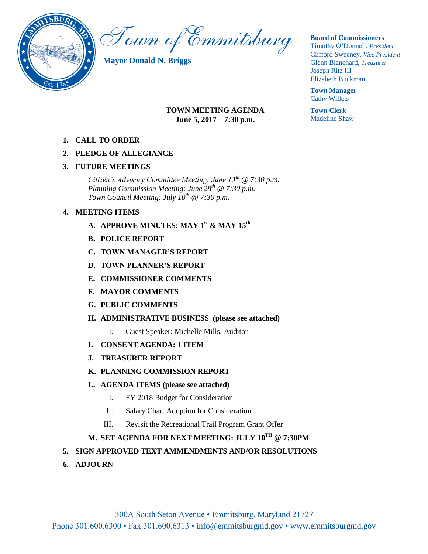

Town of Emmitsburg

**Mayor Donald N. Briggs**

## **TOWN MEETING AGENDA June 5, 2017 – 7:30 p.m.**

**1. CALL TO ORDER**

## **2. PLEDGE OF ALLEGIANCE**

## **3. FUTURE MEETINGS**

*Citizen's Advisory Committee Meeting: June 13th @ 7:30 p.m. Planning Commission Meeting: June 28th @ 7:30 p.m. Town Council Meeting: July 10th @ 7:30 p.m.*

## **4. MEETING ITEMS**

- **A. APPROVE MINUTES: MAY 1st & MAY 15th**
- **B. POLICE REPORT**
- **C. TOWN MANAGER'S REPORT**
- **D. TOWN PLANNER'S REPORT**
- **E. COMMISSIONER COMMENTS**
- **F. MAYOR COMMENTS**
- **G. PUBLIC COMMENTS**
- **H. ADMINISTRATIVE BUSINESS (please see attached)**
	- I. Guest Speaker: Michelle Mills, Auditor
- **I. CONSENT AGENDA: 1 ITEM**
- **J. TREASURER REPORT**
- **K. PLANNING COMMISSION REPORT**
- **L. AGENDA ITEMS (please see attached)**
	- I. FY 2018 Budget for Consideration
	- II. Salary Chart Adoption for Consideration
	- III. Revisit the Recreational Trail Program Grant Offer

# **M. SET AGENDA FOR NEXT MEETING: JULY 10TH @ 7:30PM**

### **5. SIGN APPROVED TEXT AMMENDMENTS AND/OR RESOLUTIONS**

**6. ADJOURN** 

### **Board of Commissioners**

Timothy O'Donnell, *President*  Clifford Sweeney, *Vice President*  Glenn Blanchard, *Treasurer*  Joseph Ritz III Elizabeth Buckman

**Town Manager** Cathy Willets

**Town Clerk** Madeline Shaw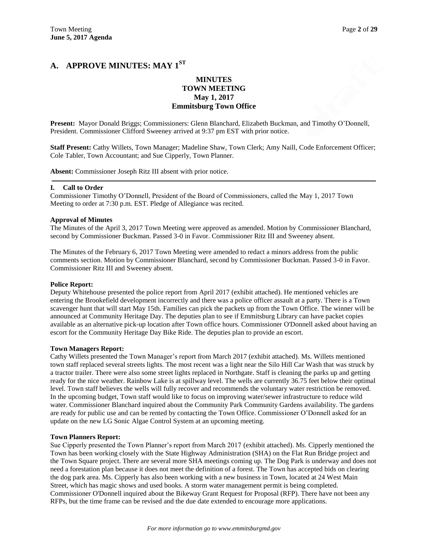# **A. APPROVE MINUTES: MAY 1ST**

### **MINUTES TOWN MEETING May 1, 2017 Emmitsburg Town Office**

**Present:** Mayor Donald Briggs; Commissioners: Glenn Blanchard, Elizabeth Buckman, and Timothy O'Donnell, President. Commissioner Clifford Sweeney arrived at 9:37 pm EST with prior notice.

**Staff Present:** Cathy Willets, Town Manager; Madeline Shaw, Town Clerk; Amy Naill, Code Enforcement Officer; Cole Tabler, Town Accountant; and Sue Cipperly, Town Planner.

**Absent:** Commissioner Joseph Ritz III absent with prior notice.

#### **I. Call to Order**

Commissioner Timothy O'Donnell, President of the Board of Commissioners, called the May 1, 2017 Town Meeting to order at 7:30 p.m. EST. Pledge of Allegiance was recited.

#### **Approval of Minutes**

The Minutes of the April 3, 2017 Town Meeting were approved as amended. Motion by Commissioner Blanchard, second by Commissioner Buckman. Passed 3-0 in Favor. Commissioner Ritz III and Sweeney absent.

The Minutes of the February 6, 2017 Town Meeting were amended to redact a minors address from the public comments section. Motion by Commissioner Blanchard, second by Commissioner Buckman. Passed 3-0 in Favor. Commissioner Ritz III and Sweeney absent.

#### **Police Report:**

Deputy Whitehouse presented the police report from April 2017 (exhibit attached). He mentioned vehicles are entering the Brookefield development incorrectly and there was a police officer assault at a party. There is a Town scavenger hunt that will start May 15th. Families can pick the packets up from the Town Office. The winner will be announced at Community Heritage Day. The deputies plan to see if Emmitsburg Library can have packet copies available as an alternative pick-up location after Town office hours. Commissioner O'Donnell asked about having an escort for the Community Heritage Day Bike Ride. The deputies plan to provide an escort.

#### **Town Managers Report:**

Cathy Willets presented the Town Manager's report from March 2017 (exhibit attached). Ms. Willets mentioned town staff replaced several streets lights. The most recent was a light near the Silo Hill Car Wash that was struck by a tractor trailer. There were also some street lights replaced in Northgate. Staff is cleaning the parks up and getting ready for the nice weather. Rainbow Lake is at spillway level. The wells are currently 36.75 feet below their optimal level. Town staff believes the wells will fully recover and recommends the voluntary water restriction be removed. In the upcoming budget, Town staff would like to focus on improving water/sewer infrastructure to reduce wild water. Commissioner Blanchard inquired about the Community Park Community Gardens availability. The gardens are ready for public use and can be rented by contacting the Town Office. Commissioner O'Donnell asked for an update on the new LG Sonic Algae Control System at an upcoming meeting.

#### **Town Planners Report:**

Sue Cipperly presented the Town Planner's report from March 2017 (exhibit attached). Ms. Cipperly mentioned the Town has been working closely with the State Highway Administration (SHA) on the Flat Run Bridge project and the Town Square project. There are several more SHA meetings coming up. The Dog Park is underway and does not need a forestation plan because it does not meet the definition of a forest. The Town has accepted bids on clearing the dog park area. Ms. Cipperly has also been working with a new business in Town, located at 24 West Main Street, which has magic shows and used books. A storm water management permit is being completed. Commissioner O'Donnell inquired about the Bikeway Grant Request for Proposal (RFP). There have not been any RFPs, but the time frame can be revised and the due date extended to encourage more applications.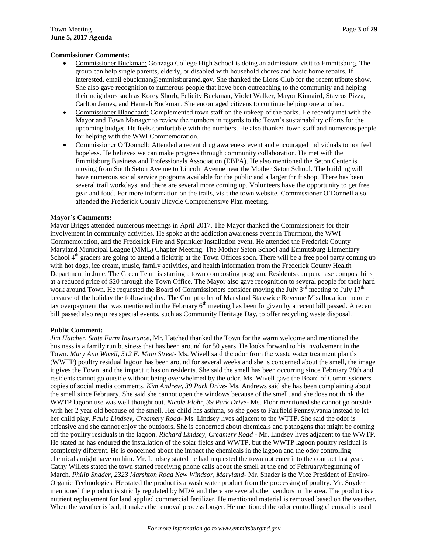#### **Commissioner Comments:**

- Commissioner Buckman: Gonzaga College High School is doing an admissions visit to Emmitsburg. The group can help single parents, elderly, or disabled with household chores and basic home repairs. If interested, email ebuckman@emmitsburgmd.gov. She thanked the Lions Club for the recent tribute show. She also gave recognition to numerous people that have been outreaching to the community and helping their neighbors such as Korey Shorb, Felicity Buckman, Violet Walker, Mayor Kinnaird, Stavros Pizza, Carlton James, and Hannah Buckman. She encouraged citizens to continue helping one another.
- Commissioner Blanchard: Complemented town staff on the upkeep of the parks. He recently met with the Mayor and Town Manager to review the numbers in regards to the Town's sustainability efforts for the upcoming budget. He feels comfortable with the numbers. He also thanked town staff and numerous people for helping with the WWI Commemoration.
- Commissioner O'Donnell: Attended a recent drug awareness event and encouraged individuals to not feel hopeless. He believes we can make progress through community collaboration. He met with the Emmitsburg Business and Professionals Association (EBPA). He also mentioned the Seton Center is moving from South Seton Avenue to Lincoln Avenue near the Mother Seton School. The building will have numerous social service programs available for the public and a larger thrift shop. There has been several trail workdays, and there are several more coming up. Volunteers have the opportunity to get free gear and food. For more information on the trails, visit the town website. Commissioner O'Donnell also attended the Frederick County Bicycle Comprehensive Plan meeting.

#### **Mayor's Comments:**

Mayor Briggs attended numerous meetings in April 2017. The Mayor thanked the Commissioners for their involvement in community activities. He spoke at the addiction awareness event in Thurmont, the WWI Commemoration, and the Frederick Fire and Sprinkler Installation event. He attended the Frederick County Maryland Municipal League (MML) Chapter Meeting. The Mother Seton School and Emmitsburg Elementary School  $4<sup>th</sup>$  graders are going to attend a fieldtrip at the Town Offices soon. There will be a free pool party coming up with hot dogs, ice cream, music, family activities, and health information from the Frederick County Health Department in June. The Green Team is starting a town composting program. Residents can purchase compost bins at a reduced price of \$20 through the Town Office. The Mayor also gave recognition to several people for their hard work around Town. He requested the Board of Commissioners consider moving the July  $3<sup>rd</sup>$  meeting to July  $17<sup>th</sup>$ because of the holiday the following day. The Comptroller of Maryland Statewide Revenue Misallocation income tax overpayment that was mentioned in the February  $6<sup>th</sup>$  meeting has been forgiven by a recent bill passed. A recent bill passed also requires special events, such as Community Heritage Day, to offer recycling waste disposal.

#### **Public Comment:**

*Jim Hatcher, State Farm Insurance*, Mr. Hatched thanked the Town for the warm welcome and mentioned the business is a family run business that has been around for 50 years. He looks forward to his involvement in the Town. *Mary Ann Wivell, 512 E. Main Street*- Ms. Wivell said the odor from the waste water treatment plant's (WWTP) poultry residual lagoon has been around for several weeks and she is concerned about the smell, the image it gives the Town, and the impact it has on residents. She said the smell has been occurring since February 28th and residents cannot go outside without being overwhelmed by the odor. Ms. Wivell gave the Board of Commissioners copies of social media comments. *Kim Andrew, 39 Park Drive*- Ms. Andrews said she has been complaining about the smell since February. She said she cannot open the windows because of the smell, and she does not think the WWTP lagoon use was well thought out. *Nicole Flohr, 39 Park Drive*- Ms. Flohr mentioned she cannot go outside with her 2 year old because of the smell. Her child has asthma, so she goes to Fairfield Pennsylvania instead to let her child play. *Paula Lindsey, Creamery Road*- Ms. Lindsey lives adjacent to the WTTP. She said the odor is offensive and she cannot enjoy the outdoors. She is concerned about chemicals and pathogens that might be coming off the poultry residuals in the lagoon. *Richard Lindsey, Creamery Road* - Mr. Lindsey lives adjacent to the WWTP. He stated he has endured the installation of the solar fields and WWTP, but the WWTP lagoon poultry residual is completely different. He is concerned about the impact the chemicals in the lagoon and the odor controlling chemicals might have on him. Mr. Lindsey stated he had requested the town not enter into the contract last year. Cathy Willets stated the town started receiving phone calls about the smell at the end of February/beginning of March. *Philip Snader, 2323 Marshton Road New Windsor, Maryland*- Mr. Snader is the Vice President of Enviro-Organic Technologies. He stated the product is a wash water product from the processing of poultry. Mr. Snyder mentioned the product is strictly regulated by MDA and there are several other vendors in the area. The product is a nutrient replacement for land applied commercial fertilizer. He mentioned material is removed based on the weather. When the weather is bad, it makes the removal process longer. He mentioned the odor controlling chemical is used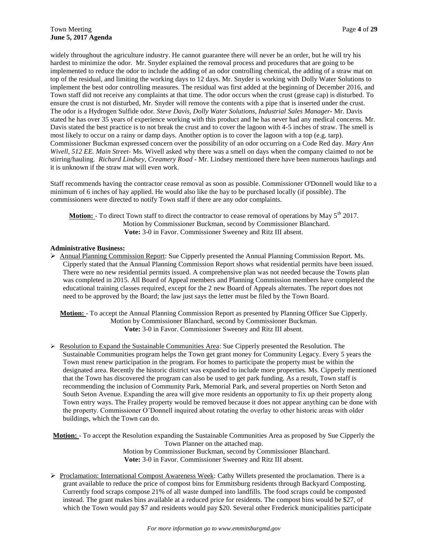widely throughout the agriculture industry. He cannot guarantee there will never be an order, but he will try his hardest to minimize the odor. Mr. Snyder explained the removal process and procedures that are going to be implemented to reduce the odor to include the adding of an odor controlling chemical, the adding of a straw mat on top of the residual, and limiting the working days to 12 days. Mr. Snyder is working with Dolly Water Solutions to implement the best odor controlling measures. The residual was first added at the beginning of December 2016, and Town staff did not receive any complaints at that time. The odor occurs when the crust (grease cap) is disturbed. To ensure the crust is not disturbed, Mr. Snyder will remove the contents with a pipe that is inserted under the crust. The odor is a Hydrogen Sulfide odor. *Steve Davis, Dolly Water Solutions, Industrial Sales Manager*- Mr. Davis stated he has over 35 years of experience working with this product and he has never had any medical concerns. Mr. Davis stated the best practice is to not break the crust and to cover the lagoon with 4-5 inches of straw. The smell is most likely to occur on a rainy or damp days. Another option is to cover the lagoon with a top (e.g. tarp). Commissioner Buckman expressed concern over the possibility of an odor occurring on a Code Red day. *Mary Ann Wivell, 512 EE. Main Street*- Ms. Wivell asked why there was a smell on days when the company claimed to not be stirring/hauling. *Richard Lindsey, Creamery Road* - Mr. Lindsey mentioned there have been numerous haulings and it is unknown if the straw mat will even work.

Staff recommends having the contractor cease removal as soon as possible. Commissioner O'Donnell would like to a minimum of 6 inches of hay applied. He would also like the hay to be purchased locally (if possible). The commissioners were directed to notify Town staff if there are any odor complaints.

**Motion:** - To direct Town staff to direct the contractor to cease removal of operations by May 5<sup>th</sup> 2017. Motion by Commissioner Buckman, second by Commissioner Blanchard. **Vote:** 3-0 in Favor. Commissioner Sweeney and Ritz III absent.

#### **Administrative Business:**

 Annual Planning Commission Report: Sue Cipperly presented the Annual Planning Commission Report. Ms. Cipperly stated that the Annual Planning Commission Report shows what residential permits have been issued. There were no new residential permits issued. A comprehensive plan was not needed because the Towns plan was completed in 2015. All Board of Appeal members and Planning Commission members have completed the educational training classes required, except for the 2 new Board of Appeals alternates. The report does not need to be approved by the Board; the law just says the letter must be filed by the Town Board.

**Motion:** - To accept the Annual Planning Commission Report as presented by Planning Officer Sue Cipperly. Motion by Commissioner Blanchard, second by Commissioner Buckman. **Vote:** 3-0 in Favor. Commissioner Sweeney and Ritz III absent.

 $\triangleright$  Resolution to Expand the Sustainable Communities Area: Sue Cipperly presented the Resolution. The Sustainable Communities program helps the Town get grant money for Community Legacy. Every 5 years the Town must renew participation in the program. For homes to participate the property must be within the designated area. Recently the historic district was expanded to include more properties. Ms. Cipperly mentioned that the Town has discovered the program can also be used to get park funding. As a result, Town staff is recommending the inclusion of Community Park, Memorial Park, and several properties on North Seton and South Seton Avenue. Expanding the area will give more residents an opportunity to fix up their property along Town entry ways. The Frailey property would be removed because it does not appear anything can be done with the property. Commissioner O'Donnell inquired about rotating the overlay to other historic areas with older buildings, which the Town can do.

**Motion:** - To accept the Resolution expanding the Sustainable Communities Area as proposed by Sue Cipperly the Town Planner on the attached map. Motion by Commissioner Buckman, second by Commissioner Blanchard. **Vote:** 3-0 in Favor. Commissioner Sweeney and Ritz III absent.

▶ Proclamation: International Compost Awareness Week: Cathy Willets presented the proclamation. There is a grant available to reduce the price of compost bins for Emmitsburg residents through Backyard Composting. Currently food scraps compose 21% of all waste dumped into landfills. The food scraps could be composted instead. The grant makes bins available at a reduced price for residents. The compost bins would be \$27, of which the Town would pay \$7 and residents would pay \$20. Several other Frederick municipalities participate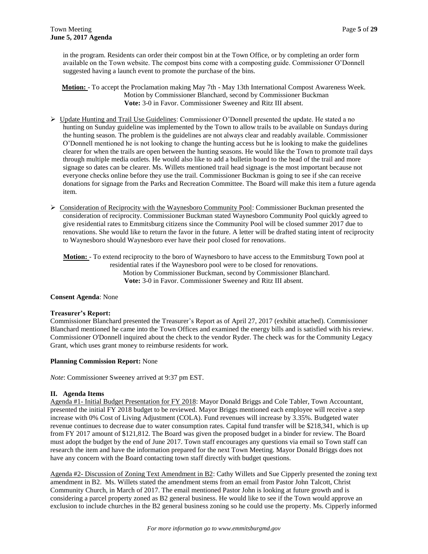in the program. Residents can order their compost bin at the Town Office, or by completing an order form available on the Town website. The compost bins come with a composting guide. Commissioner O'Donnell suggested having a launch event to promote the purchase of the bins.

**Motion:** - To accept the Proclamation making May 7th - May 13th International Compost Awareness Week. Motion by Commissioner Blanchard, second by Commissioner Buckman **Vote:** 3-0 in Favor. Commissioner Sweeney and Ritz III absent.

- ▶ Update Hunting and Trail Use Guidelines: Commissioner O'Donnell presented the update. He stated a no hunting on Sunday guideline was implemented by the Town to allow trails to be available on Sundays during the hunting season. The problem is the guidelines are not always clear and readably available. Commissioner O'Donnell mentioned he is not looking to change the hunting access but he is looking to make the guidelines clearer for when the trails are open between the hunting seasons. He would like the Town to promote trail days through multiple media outlets. He would also like to add a bulletin board to the head of the trail and more signage so dates can be clearer. Ms. Willets mentioned trail head signage is the most important because not everyone checks online before they use the trail. Commissioner Buckman is going to see if she can receive donations for signage from the Parks and Recreation Committee. The Board will make this item a future agenda item.
- $\triangleright$  Consideration of Reciprocity with the Waynesboro Community Pool: Commissioner Buckman presented the consideration of reciprocity. Commissioner Buckman stated Waynesboro Community Pool quickly agreed to give residential rates to Emmitsburg citizens since the Community Pool will be closed summer 2017 due to renovations. She would like to return the favor in the future. A letter will be drafted stating intent of reciprocity to Waynesboro should Waynesboro ever have their pool closed for renovations.

**Motion:** - To extend reciprocity to the boro of Waynesboro to have access to the Emmitsburg Town pool at residential rates if the Waynesboro pool were to be closed for renovations. Motion by Commissioner Buckman, second by Commissioner Blanchard. **Vote:** 3-0 in Favor. Commissioner Sweeney and Ritz III absent.

#### **Consent Agenda**: None

#### **Treasurer's Report:**

Commissioner Blanchard presented the Treasurer's Report as of April 27, 2017 (exhibit attached). Commissioner Blanchard mentioned he came into the Town Offices and examined the energy bills and is satisfied with his review. Commissioner O'Donnell inquired about the check to the vendor Ryder. The check was for the Community Legacy Grant, which uses grant money to reimburse residents for work.

#### **Planning Commission Report:** None

*Note*: Commissioner Sweeney arrived at 9:37 pm EST.

#### **II. Agenda Items**

Agenda #1- Initial Budget Presentation for FY 2018: Mayor Donald Briggs and Cole Tabler, Town Accountant, presented the initial FY 2018 budget to be reviewed. Mayor Briggs mentioned each employee will receive a step increase with 0% Cost of Living Adjustment (COLA). Fund revenues will increase by 3.35%. Budgeted water revenue continues to decrease due to water consumption rates. Capital fund transfer will be \$218,341, which is up from FY 2017 amount of \$121,812. The Board was given the proposed budget in a binder for review. The Board must adopt the budget by the end of June 2017. Town staff encourages any questions via email so Town staff can research the item and have the information prepared for the next Town Meeting. Mayor Donald Briggs does not have any concern with the Board contacting town staff directly with budget questions.

Agenda #2- Discussion of Zoning Text Amendment in B2: Cathy Willets and Sue Cipperly presented the zoning text amendment in B2. Ms. Willets stated the amendment stems from an email from Pastor John Talcott, Christ Community Church, in March of 2017. The email mentioned Pastor John is looking at future growth and is considering a parcel property zoned as B2 general business. He would like to see if the Town would approve an exclusion to include churches in the B2 general business zoning so he could use the property. Ms. Cipperly informed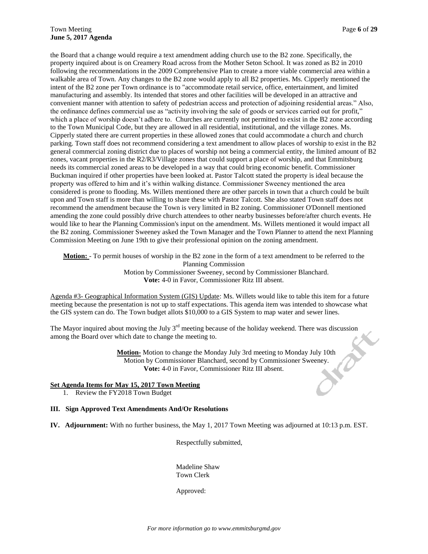the Board that a change would require a text amendment adding church use to the B2 zone. Specifically, the property inquired about is on Creamery Road across from the Mother Seton School. It was zoned as B2 in 2010 following the recommendations in the 2009 Comprehensive Plan to create a more viable commercial area within a walkable area of Town. Any changes to the B2 zone would apply to all B2 properties. Ms. Cipperly mentioned the intent of the B2 zone per Town ordinance is to "accommodate retail service, office, entertainment, and limited manufacturing and assembly. Its intended that stores and other facilities will be developed in an attractive and convenient manner with attention to safety of pedestrian access and protection of adjoining residential areas." Also, the ordinance defines commercial use as "activity involving the sale of goods or services carried out for profit," which a place of worship doesn't adhere to. Churches are currently not permitted to exist in the B2 zone according to the Town Municipal Code, but they are allowed in all residential, institutional, and the village zones. Ms. Cipperly stated there are current properties in these allowed zones that could accommodate a church and church parking. Town staff does not recommend considering a text amendment to allow places of worship to exist in the B2 general commercial zoning district due to places of worship not being a commercial entity, the limited amount of B2 zones, vacant properties in the R2/R3/Village zones that could support a place of worship, and that Emmitsburg needs its commercial zoned areas to be developed in a way that could bring economic benefit. Commissioner Buckman inquired if other properties have been looked at. Pastor Talcott stated the property is ideal because the property was offered to him and it's within walking distance. Commissioner Sweeney mentioned the area considered is prone to flooding. Ms. Willets mentioned there are other parcels in town that a church could be built upon and Town staff is more than willing to share these with Pastor Talcott. She also stated Town staff does not recommend the amendment because the Town is very limited in B2 zoning. Commissioner O'Donnell mentioned amending the zone could possibly drive church attendees to other nearby businesses before/after church events. He would like to hear the Planning Commission's input on the amendment. Ms. Willets mentioned it would impact all the B2 zoning. Commissioner Sweeney asked the Town Manager and the Town Planner to attend the next Planning Commission Meeting on June 19th to give their professional opinion on the zoning amendment.

**Motion:** - To permit houses of worship in the B2 zone in the form of a text amendment to be referred to the Planning Commission Motion by Commissioner Sweeney, second by Commissioner Blanchard. **Vote:** 4-0 in Favor, Commissioner Ritz III absent.

Agenda #3- Geographical Information System (GIS) Update: Ms. Willets would like to table this item for a future meeting because the presentation is not up to staff expectations. This agenda item was intended to showcase what the GIS system can do. The Town budget allots \$10,000 to a GIS System to map water and sewer lines.

among the Board over which date to change the meeting to.

The Mayor inquired about moving the July 3<sup>rd</sup> meeting because of the holiday weekend. There was discussion<br>among the Board over which date to change the meeting to.<br>**Motion** Motion to change the Monday July 3rd meeting to **Motion-** Motion to change the Monday July 3rd meeting to Monday July 10th Motion by Commissioner Blanchard, second by Commissioner Sweeney. **Vote:** 4-0 in Favor, Commissioner Ritz III absent.

#### **Set Agenda Items for May 15, 2017 Town Meeting**

1. Review the FY2018 Town Budget

#### **III. Sign Approved Text Amendments And/Or Resolutions**

**IV. Adjournment:** With no further business, the May 1, 2017 Town Meeting was adjourned at 10:13 p.m. EST.

Respectfully submitted,

Madeline Shaw Town Clerk

Approved: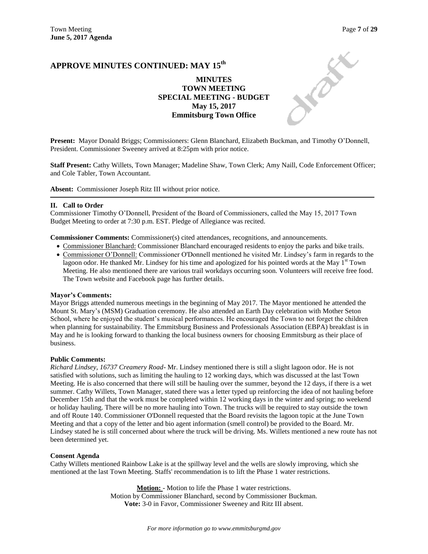**DEA** 

## **APPROVE MINUTES CONTINUED: MAY 15th**

## **MINUTES TOWN MEETING SPECIAL MEETING - BUDGET May 15, 2017 Emmitsburg Town Office**

**Present:** Mayor Donald Briggs; Commissioners: Glenn Blanchard, Elizabeth Buckman, and Timothy O'Donnell, President. Commissioner Sweeney arrived at 8:25pm with prior notice.

**Staff Present:** Cathy Willets, Town Manager; Madeline Shaw, Town Clerk; Amy Naill, Code Enforcement Officer; and Cole Tabler, Town Accountant.

**Absent:** Commissioner Joseph Ritz III without prior notice.

#### **II. Call to Order**

Commissioner Timothy O'Donnell, President of the Board of Commissioners, called the May 15, 2017 Town Budget Meeting to order at 7:30 p.m. EST. Pledge of Allegiance was recited.

**Commissioner Comments:** Commissioner(s) cited attendances, recognitions, and announcements.

- Commissioner Blanchard: Commissioner Blanchard encouraged residents to enjoy the parks and bike trails.
- Commissioner O'Donnell: Commissioner O'Donnell mentioned he visited Mr. Lindsey's farm in regards to the lagoon odor. He thanked Mr. Lindsey for his time and apologized for his pointed words at the May  $1<sup>st</sup>$  Town Meeting. He also mentioned there are various trail workdays occurring soon. Volunteers will receive free food. The Town website and Facebook page has further details.

#### **Mayor's Comments:**

Mayor Briggs attended numerous meetings in the beginning of May 2017. The Mayor mentioned he attended the Mount St. Mary's (MSM) Graduation ceremony. He also attended an Earth Day celebration with Mother Seton School, where he enjoyed the student's musical performances. He encouraged the Town to not forget the children when planning for sustainability. The Emmitsburg Business and Professionals Association (EBPA) breakfast is in May and he is looking forward to thanking the local business owners for choosing Emmitsburg as their place of business.

#### **Public Comments:**

*Richard Lindsey, 16737 Creamery Road*- Mr. Lindsey mentioned there is still a slight lagoon odor. He is not satisfied with solutions, such as limiting the hauling to 12 working days, which was discussed at the last Town Meeting. He is also concerned that there will still be hauling over the summer, beyond the 12 days, if there is a wet summer. Cathy Willets, Town Manager, stated there was a letter typed up reinforcing the idea of not hauling before December 15th and that the work must be completed within 12 working days in the winter and spring; no weekend or holiday hauling. There will be no more hauling into Town. The trucks will be required to stay outside the town and off Route 140. Commissioner O'Donnell requested that the Board revisits the lagoon topic at the June Town Meeting and that a copy of the letter and bio agent information (smell control) be provided to the Board. Mr. Lindsey stated he is still concerned about where the truck will be driving. Ms. Willets mentioned a new route has not been determined yet.

#### **Consent Agenda**

Cathy Willets mentioned Rainbow Lake is at the spillway level and the wells are slowly improving, which she mentioned at the last Town Meeting. Staffs' recommendation is to lift the Phase 1 water restrictions.

> **Motion:** - Motion to life the Phase 1 water restrictions. Motion by Commissioner Blanchard, second by Commissioner Buckman. **Vote:** 3-0 in Favor, Commissioner Sweeney and Ritz III absent.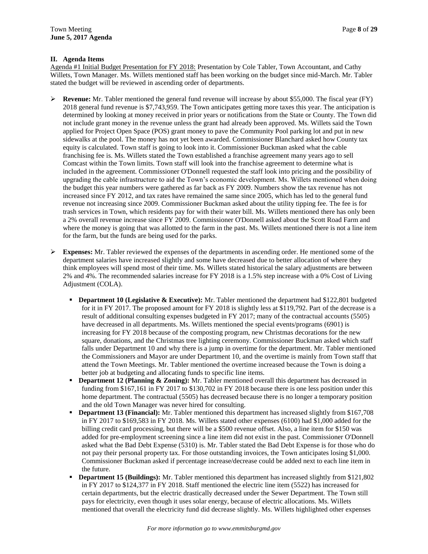#### **II. Agenda Items**

Agenda #1 Initial Budget Presentation for FY 2018: Presentation by Cole Tabler, Town Accountant, and Cathy Willets, Town Manager. Ms. Willets mentioned staff has been working on the budget since mid-March. Mr. Tabler stated the budget will be reviewed in ascending order of departments.

- **Revenue:** Mr. Tabler mentioned the general fund revenue will increase by about \$55,000. The fiscal year (FY) 2018 general fund revenue is \$7,743,959. The Town anticipates getting more taxes this year. The anticipation is determined by looking at money received in prior years or notifications from the State or County. The Town did not include grant money in the revenue unless the grant had already been approved. Ms. Willets said the Town applied for Project Open Space (POS) grant money to pave the Community Pool parking lot and put in new sidewalks at the pool. The money has not yet been awarded. Commissioner Blanchard asked how County tax equity is calculated. Town staff is going to look into it. Commissioner Buckman asked what the cable franchising fee is. Ms. Willets stated the Town established a franchise agreement many years ago to sell Comcast within the Town limits. Town staff will look into the franchise agreement to determine what is included in the agreement. Commissioner O'Donnell requested the staff look into pricing and the possibility of upgrading the cable infrastructure to aid the Town's economic development. Ms. Willets mentioned when doing the budget this year numbers were gathered as far back as FY 2009. Numbers show the tax revenue has not increased since FY 2012, and tax rates have remained the same since 2005, which has led to the general fund revenue not increasing since 2009. Commissioner Buckman asked about the utility tipping fee. The fee is for trash services in Town, which residents pay for with their water bill. Ms. Willets mentioned there has only been a 2% overall revenue increase since FY 2009. Commissioner O'Donnell asked about the Scott Road Farm and where the money is going that was allotted to the farm in the past. Ms. Willets mentioned there is not a line item for the farm, but the funds are being used for the parks.
- **Expenses:** Mr. Tabler reviewed the expenses of the departments in ascending order. He mentioned some of the department salaries have increased slightly and some have decreased due to better allocation of where they think employees will spend most of their time. Ms. Willets stated historical the salary adjustments are between 2% and 4%. The recommended salaries increase for FY 2018 is a 1.5% step increase with a 0% Cost of Living Adjustment (COLA).
	- **Department 10 (Legislative & Executive):** Mr. Tabler mentioned the department had \$122,801 budgeted for it in FY 2017. The proposed amount for FY 2018 is slightly less at \$119,792. Part of the decrease is a result of additional consulting expenses budgeted in FY 2017; many of the contractual accounts (5505) have decreased in all departments. Ms. Willets mentioned the special events/programs (6901) is increasing for FY 2018 because of the composting program, new Christmas decorations for the new square, donations, and the Christmas tree lighting ceremony. Commissioner Buckman asked which staff falls under Department 10 and why there is a jump in overtime for the department. Mr. Tabler mentioned the Commissioners and Mayor are under Department 10, and the overtime is mainly from Town staff that attend the Town Meetings. Mr. Tabler mentioned the overtime increased because the Town is doing a better job at budgeting and allocating funds to specific line items.
	- **Department 12 (Planning & Zoning):** Mr. Tabler mentioned overall this department has decreased in funding from \$167,161 in FY 2017 to \$130,702 in FY 2018 because there is one less position under this home department. The contractual (5505) has decreased because there is no longer a temporary position and the old Town Manager was never hired for consulting.
	- **Department 13 (Financial):** Mr. Tabler mentioned this department has increased slightly from \$167,708 in FY 2017 to \$169,583 in FY 2018. Ms. Willets stated other expenses (6100) had \$1,000 added for the billing credit card processing, but there will be a \$500 revenue offset. Also, a line item for \$150 was added for pre-employment screening since a line item did not exist in the past. Commissioner O'Donnell asked what the Bad Debt Expense (5310) is. Mr. Tabler stated the Bad Debt Expense is for those who do not pay their personal property tax. For those outstanding invoices, the Town anticipates losing \$1,000. Commissioner Buckman asked if percentage increase/decrease could be added next to each line item in the future.
	- **Department 15 (Buildings):** Mr. Tabler mentioned this department has increased slightly from \$121,802 in FY 2017 to \$124,377 in FY 2018. Staff mentioned the electric line item (5522) has increased for certain departments, but the electric drastically decreased under the Sewer Department. The Town still pays for electricity, even though it uses solar energy, because of electric allocations. Ms. Willets mentioned that overall the electricity fund did decrease slightly. Ms. Willets highlighted other expenses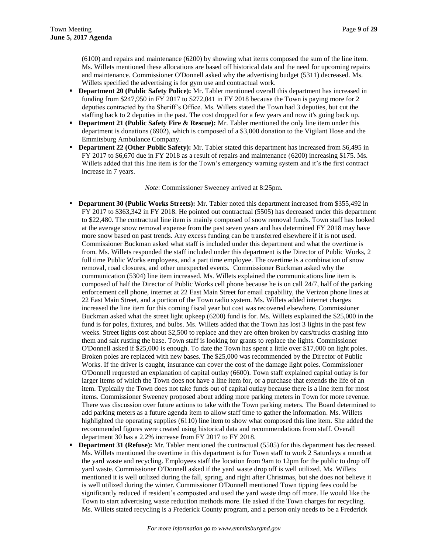(6100) and repairs and maintenance (6200) by showing what items composed the sum of the line item. Ms. Willets mentioned these allocations are based off historical data and the need for upcoming repairs and maintenance. Commissioner O'Donnell asked why the advertising budget (5311) decreased. Ms. Willets specified the advertising is for gym use and contractual work.

- **Department 20 (Public Safety Police):** Mr. Tabler mentioned overall this department has increased in funding from \$247,950 in FY 2017 to \$272,041 in FY 2018 because the Town is paying more for 2 deputies contracted by the Sheriff's Office. Ms. Willets stated the Town had 3 deputies, but cut the staffing back to 2 deputies in the past. The cost dropped for a few years and now it's going back up.
- **Department 21 (Public Safety Fire & Rescue):** Mr. Tabler mentioned the only line item under this department is donations (6902), which is composed of a \$3,000 donation to the Vigilant Hose and the Emmitsburg Ambulance Company.
- **Department 22 (Other Public Safety):** Mr. Tabler stated this department has increased from \$6,495 in FY 2017 to \$6,670 due in FY 2018 as a result of repairs and maintenance (6200) increasing \$175. Ms. Willets added that this line item is for the Town's emergency warning system and it's the first contract increase in 7 years.

*Note*: Commissioner Sweeney arrived at 8:25pm.

- **Department 30 (Public Works Streets):** Mr. Tabler noted this department increased from \$355,492 in FY 2017 to \$363,342 in FY 2018. He pointed out contractual (5505) has decreased under this department to \$22,480. The contractual line item is mainly composed of snow removal funds. Town staff has looked at the average snow removal expense from the past seven years and has determined FY 2018 may have more snow based on past trends. Any excess funding can be transferred elsewhere if it is not used. Commissioner Buckman asked what staff is included under this department and what the overtime is from. Ms. Willets responded the staff included under this department is the Director of Public Works, 2 full time Public Works employees, and a part time employee. The overtime is a combination of snow removal, road closures, and other unexpected events. Commissioner Buckman asked why the communication (5304) line item increased. Ms. Willets explained the communications line item is composed of half the Director of Public Works cell phone because he is on call 24/7, half of the parking enforcement cell phone, internet at 22 East Main Street for email capability, the Verizon phone lines at 22 East Main Street, and a portion of the Town radio system. Ms. Willets added internet charges increased the line item for this coming fiscal year but cost was recovered elsewhere. Commissioner Buckman asked what the street light upkeep (6200) fund is for. Ms. Willets explained the \$25,000 in the fund is for poles, fixtures, and bulbs. Ms. Willets added that the Town has lost 3 lights in the past few weeks. Street lights cost about \$2,500 to replace and they are often broken by cars/trucks crashing into them and salt rusting the base. Town staff is looking for grants to replace the lights. Commissioner O'Donnell asked if \$25,000 is enough. To date the Town has spent a little over \$17,000 on light poles. Broken poles are replaced with new bases. The \$25,000 was recommended by the Director of Public Works. If the driver is caught, insurance can cover the cost of the damage light poles. Commissioner O'Donnell requested an explanation of capital outlay (6600). Town staff explained capital outlay is for larger items of which the Town does not have a line item for, or a purchase that extends the life of an item. Typically the Town does not take funds out of capital outlay because there is a line item for most items. Commissioner Sweeney proposed about adding more parking meters in Town for more revenue. There was discussion over future actions to take with the Town parking meters. The Board determined to add parking meters as a future agenda item to allow staff time to gather the information. Ms. Willets highlighted the operating supplies (6110) line item to show what composed this line item. She added the recommended figures were created using historical data and recommendations from staff. Overall department 30 has a 2.2% increase from FY 2017 to FY 2018.
- **Department 31 (Refuse):** Mr. Tabler mentioned the contractual (5505) for this department has decreased. Ms. Willets mentioned the overtime in this department is for Town staff to work 2 Saturdays a month at the yard waste and recycling. Employees staff the location from 9am to 12pm for the public to drop off yard waste. Commissioner O'Donnell asked if the yard waste drop off is well utilized. Ms. Willets mentioned it is well utilized during the fall, spring, and right after Christmas, but she does not believe it is well utilized during the winter. Commissioner O'Donnell mentioned Town tipping fees could be significantly reduced if resident's composted and used the yard waste drop off more. He would like the Town to start advertising waste reduction methods more. He asked if the Town charges for recycling. Ms. Willets stated recycling is a Frederick County program, and a person only needs to be a Frederick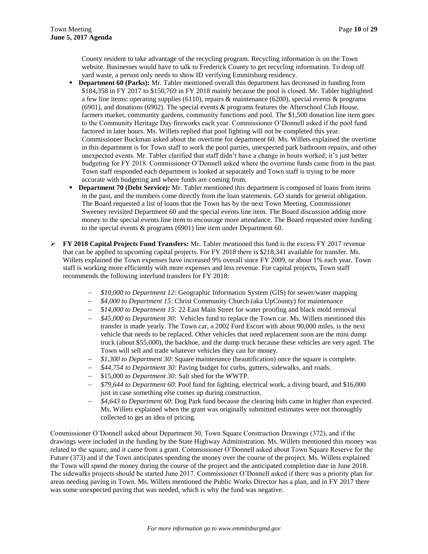County resident to take advantage of the recycling program. Recycling information is on the Town website. Businesses would have to talk to Frederick County to get recycling information. To drop off yard waste, a person only needs to show ID verifying Emmitsburg residency.

- **Department 60 (Parks):** Mr. Tabler mentioned overall this department has decreased in funding from \$184,358 in FY 2017 to \$150,769 in FY 2018 mainly because the pool is closed. Mr. Tabler highlighted a few line items: operating supplies (6110), repairs & maintenance (6200), special events & programs (6901), and donations (6902). The special events & programs features the Afterschool Club House, farmers market, community gardens, community functions and pool. The \$1,500 donation line item goes to the Community Heritage Day fireworks each year. Commissioner O'Donnell asked if the pool fund factored in later hours. Ms. Willets replied that pool lighting will not be completed this year. Commissioner Buckman asked about the overtime for department 60. Ms. Willets explained the overtime in this department is for Town staff to work the pool parties, unexpected park bathroom repairs, and other unexpected events. Mr. Tabler clarified that staff didn't have a change in hours worked; it's just better budgeting for FY 2018. Commissioner O'Donnell asked where the overtime funds came from in the past. Town staff responded each department is looked at separately and Town staff is trying to be more accurate with budgeting and where funds are coming from.
- **Department 70 (Debt Service):** Mr. Tabler mentioned this department is composed of loans from items in the past, and the numbers come directly from the loan statements. GO stands for general obligation. The Board requested a list of loans that the Town has by the next Town Meeting. Commissioner Sweeney revisited Department 60 and the special events line item. The Board discussion adding more money to the special events line item to encourage more attendance. The Board requested more funding to the special events & programs (6901) line item under Department 60.
- **FY 2018 Capital Projects Fund Transfers:** Mr. Tabler mentioned this fund is the excess FY 2017 revenue that can be applied to upcoming capital projects. For FY 2018 there is \$218,341 available for transfer. Ms. Willets explained the Town expenses have increased 9% overall since FY 2009, or about 1% each year. Town staff is working more efficiently with more expenses and less revenue. For capital projects, Town staff recommends the following interfund transfers for FY 2018:
	- *\$10,000 to Department 12*: Geographic Information System (GIS) for sewer/water mapping
	- *\$4,000 to Department 15*: Christ Community Church (aka UpCounty) for maintenance
	- *\$14,000 to Department 15:* 22 East Main Street for water proofing and black mold removal
	- *\$45,000 to Department 30*: Vehicles fund to replace the Town car. Ms. Willets mentioned this transfer is made yearly. The Town car, a 2002 Ford Escort with about 90,000 miles, is the next vehicle that needs to be replaced. Other vehicles that need replacement soon are the mini dump truck (about \$55,000), the backhoe, and the dump truck because these vehicles are very aged. The Town will sell and trade whatever vehicles they can for money.
	- *\$1,300 to Department 30*: Square maintenance (beautification) once the square is complete.
	- *\$44,754 to Department 30:* Paving budget for curbs, gutters, sidewalks, and roads.
	- \$15,000 *to Department 30:* Salt shed for the WWTP.
	- *\$79,644 to Department 60*: Pool fund for lighting, electrical work, a diving board, and \$16,000 just in case something else comes up during construction.
	- *\$4,643 to Department 60*: Dog Park fund because the clearing bids came in higher than expected. Ms. Willets explained when the grant was originally submitted estimates were not thoroughly collected to get an idea of pricing.

Commissioner O'Donnell asked about Department 30, Town Square Construction Drawings (372), and if the drawings were included in the funding by the State Highway Administration. Ms. Willets mentioned this money was related to the square, and it came from a grant. Commissioner O'Donnell asked about Town Square Reserve for the Future (373) and if the Town anticipates spending the money over the course of the project. Ms. Willets explained the Town will spend the money during the course of the project and the anticipated completion date in June 2018. The sidewalks projects should be started June 2017. Commissioner O'Donnell asked if there was a priority plan for areas needing paving in Town. Ms. Willets mentioned the Public Works Director has a plan, and in FY 2017 there was some unexpected paving that was needed, which is why the fund was negative.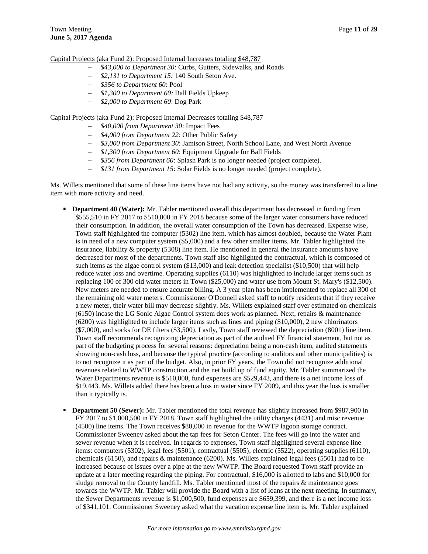Capital Projects (aka Fund 2): Proposed Internal Increases totaling \$48,787

- *\$43,000 to Department 30*: Curbs, Gutters, Sidewalks, and Roads
- *\$2,131 to Department 15:* 140 South Seton Ave.
- *\$356 to Department 60*: Pool
- *\$1,300 to Department 60:* Ball Fields Upkeep
- *\$2,000 to Department 60*: Dog Park

Capital Projects (aka Fund 2): Proposed Internal Decreases totaling \$48,787

- *\$40,000 from Department 30*: Impact Fees
- *\$4,000 from Department 22*: Other Public Safety
- *\$3,000 from Department 30*: Jamison Street, North School Lane, and West North Avenue
- *\$1,300 from Department 60*: Equipment Upgrade for Ball Fields
- *\$356 from Department 60*: Splash Park is no longer needed (project complete).
- *\$131 from Department 15*: Solar Fields is no longer needed (project complete).

Ms. Willets mentioned that some of these line items have not had any activity, so the money was transferred to a line item with more activity and need.

- **Department 40 (Water):** Mr. Tabler mentioned overall this department has decreased in funding from \$555,510 in FY 2017 to \$510,000 in FY 2018 because some of the larger water consumers have reduced their consumption. In addition, the overall water consumption of the Town has decreased. Expense wise, Town staff highlighted the computer (5302) line item, which has almost doubled, because the Water Plant is in need of a new computer system (\$5,000) and a few other smaller items. Mr. Tabler highlighted the insurance, liability & property (5308) line item. He mentioned in general the insurance amounts have decreased for most of the departments. Town staff also highlighted the contractual, which is composed of such items as the algae control system (\$13,000) and leak detection specialist (\$10,500) that will help reduce water loss and overtime. Operating supplies (6110) was highlighted to include larger items such as replacing 100 of 300 old water meters in Town (\$25,000) and water use from Mount St. Mary's (\$12,500). New meters are needed to ensure accurate billing. A 3 year plan has been implemented to replace all 300 of the remaining old water meters. Commissioner O'Donnell asked staff to notify residents that if they receive a new meter, their water bill may decrease slightly. Ms. Willets explained staff over estimated on chemicals (6150) incase the LG Sonic Algae Control system does work as planned. Next, repairs & maintenance (6200) was highlighted to include larger items such as lines and piping (\$10,000), 2 new chlorinators (\$7,000), and socks for DE filters (\$3,500). Lastly, Town staff reviewed the depreciation (8001) line item. Town staff recommends recognizing depreciation as part of the audited FY financial statement, but not as part of the budgeting process for several reasons: depreciation being a non-cash item, audited statements showing non-cash loss, and because the typical practice (according to auditors and other municipalities) is to not recognize it as part of the budget. Also, in prior FY years, the Town did not recognize additional revenues related to WWTP construction and the net build up of fund equity. Mr. Tabler summarized the Water Departments revenue is \$510,000, fund expenses are \$529,443, and there is a net income loss of \$19,443. Ms. Willets added there has been a loss in water since FY 2009, and this year the loss is smaller than it typically is.
- **Department 50 (Sewer):** Mr. Tabler mentioned the total revenue has slightly increased from \$987,900 in FY 2017 to \$1,000,500 in FY 2018. Town staff highlighted the utility charges (4431) and misc revenue (4500) line items. The Town receives \$80,000 in revenue for the WWTP lagoon storage contract. Commissioner Sweeney asked about the tap fees for Seton Center. The fees will go into the water and sewer revenue when it is received. In regards to expenses, Town staff highlighted several expense line items: computers (5302), legal fees (5501), contractual (5505), electric (5522), operating supplies (6110), chemicals (6150), and repairs & maintenance (6200). Ms. Willets explained legal fees (5501) had to be increased because of issues over a pipe at the new WWTP. The Board requested Town staff provide an update at a later meeting regarding the piping. For contractual, \$16,000 is allotted to labs and \$10,000 for sludge removal to the County landfill. Ms. Tabler mentioned most of the repairs & maintenance goes towards the WWTP. Mr. Tabler will provide the Board with a list of loans at the next meeting. In summary, the Sewer Departments revenue is \$1,000,500, fund expenses are \$659,399, and there is a net income loss of \$341,101. Commissioner Sweeney asked what the vacation expense line item is. Mr. Tabler explained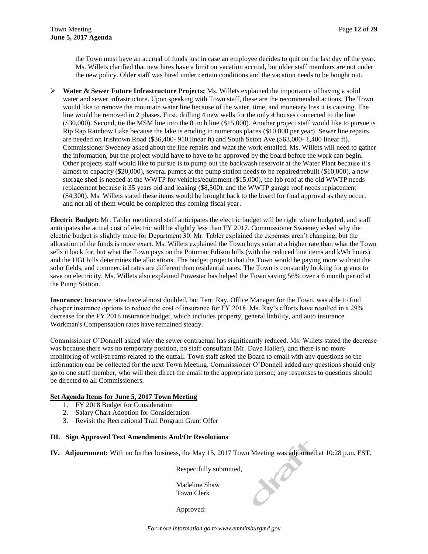the Town must have an accrual of funds just in case an employee decides to quit on the last day of the year. Ms. Willets clarified that new hires have a limit on vacation accrual, but older staff members are not under the new policy. Older staff was hired under certain conditions and the vacation needs to be bought out.

 **Water & Sewer Future Infrastructure Projects:** Ms. Willets explained the importance of having a solid water and sewer infrastructure. Upon speaking with Town staff, these are the recommended actions. The Town would like to remove the mountain water line because of the water, time, and monetary loss it is causing. The line would be removed in 2 phases. First, drilling 4 new wells for the only 4 houses connected to the line (\$30,000). Second, tie the MSM line into the 8 inch line (\$15,000). Another project staff would like to pursue is Rip Rap Rainbow Lake because the lake is eroding in numerous places (\$10,000 per year). Sewer line repairs are needed on Irishtown Road (\$36,400- 910 linear ft) and South Seton Ave (\$63,000- 1,400 linear ft). Commissioner Sweeney asked about the line repairs and what the work entailed. Ms. Willets will need to gather the information, but the project would have to have to be approved by the board before the work can begin. Other projects staff would like to pursue is to pump out the backwash reservoir at the Water Plant because it's almost to capacity (\$20,000), several pumps at the pump station needs to be repaired/rebuilt (\$10,000), a new storage shed is needed at the WWTP for vehicles/equipment (\$15,000), the lab roof at the old WWTP needs replacement because it 35 years old and leaking (\$8,500), and the WWTP garage roof needs replacement (\$4,300). Ms. Willets stated these items would be brought back to the board for final approval as they occur, and not all of them would be completed this coming fiscal year.

**Electric Budget:** Mr. Tabler mentioned staff anticipates the electric budget will be right where budgeted, and staff anticipates the actual cost of electric will be slightly less than FY 2017. Commissioner Sweeney asked why the electric budget is slightly more for Department 30. Mr. Tabler explained the expenses aren't changing, but the allocation of the funds is more exact. Ms. Willets explained the Town buys solar at a higher rate than what the Town sells it back for, but what the Town pays on the Potomac Edison bills (with the reduced line items and kWh hours) and the UGI bills determines the allocations. The budget projects that the Town would be paying more without the solar fields, and commercial rates are different than residential rates. The Town is constantly looking for grants to save on electricity. Ms. Willets also explained Powestar has helped the Town saving 56% over a 6 month period at the Pump Station.

**Insurance:** Insurance rates have almost doubled, but Terri Ray, Office Manager for the Town, was able to find cheaper insurance options to reduce the cost of insurance for FY 2018. Ms. Ray's efforts have resulted in a 29% decrease for the FY 2018 insurance budget, which includes property, general liability, and auto insurance. Workman's Compensation rates have remained steady.

Commissioner O'Donnell asked why the sewer contractual has significantly reduced. Ms. Willets stated the decrease was because there was no temporary position, no staff consultant (Mr. Dave Haller), and there is no more monitoring of well/streams related to the outfall. Town staff asked the Board to email with any questions so the information can be collected for the next Town Meeting. Commissioner O'Donnell added any questions should only go to one staff member, who will then direct the email to the appropriate person; any responses to questions should be directed to all Commissioners.

#### **Set Agenda Items for June 5, 2017 Town Meeting**

- 1. FY 2018 Budget for Consideration
- 2. Salary Chart Adoption for Consideration
- 3. Revisit the Recreational Trail Program Grant Offer

#### **III. Sign Approved Text Amendments And/Or Resolutions**

**IV. Adjournment:** With no further business, the May 15, 2017 Town Meeting was adjourned at 10:28 p.m. EST.

Respectfully submitted,

LO

Madeline Shaw Town Clerk

Approved: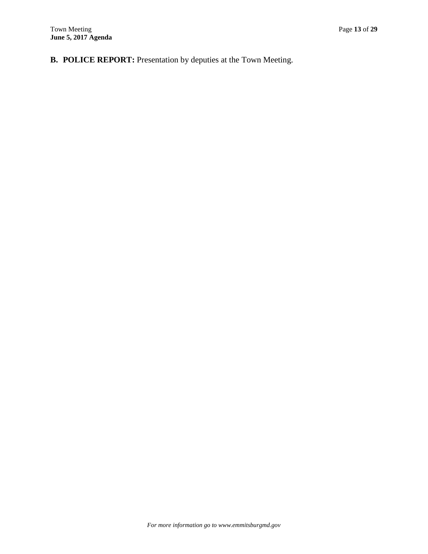**B. POLICE REPORT:** Presentation by deputies at the Town Meeting.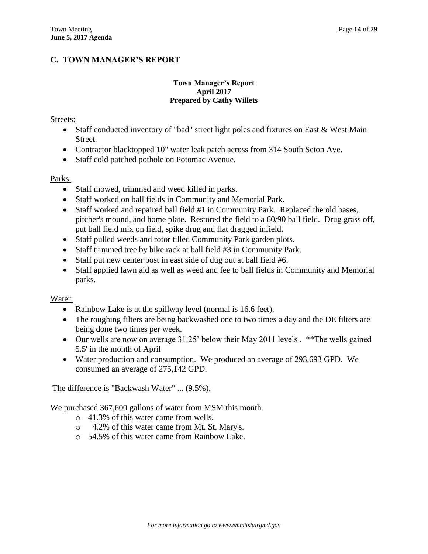# **C. TOWN MANAGER'S REPORT**

## **Town Manager's Report April 2017 Prepared by Cathy Willets**

## Streets:

- Staff conducted inventory of "bad" street light poles and fixtures on East & West Main Street.
- Contractor blacktopped 10" water leak patch across from 314 South Seton Ave.
- Staff cold patched pothole on Potomac Avenue.

## Parks:

- Staff mowed, trimmed and weed killed in parks.
- Staff worked on ball fields in Community and Memorial Park.
- Staff worked and repaired ball field #1 in Community Park. Replaced the old bases, pitcher's mound, and home plate. Restored the field to a 60/90 ball field. Drug grass off, put ball field mix on field, spike drug and flat dragged infield.
- Staff pulled weeds and rotor tilled Community Park garden plots.
- Staff trimmed tree by bike rack at ball field #3 in Community Park.
- Staff put new center post in east side of dug out at ball field #6.
- Staff applied lawn aid as well as weed and fee to ball fields in Community and Memorial parks.

## Water:

- Rainbow Lake is at the spillway level (normal is 16.6 feet).
- The roughing filters are being backwashed one to two times a day and the DE filters are being done two times per week.
- Our wells are now on average 31.25' below their May 2011 levels . \*\*The wells gained 5.5' in the month of April
- Water production and consumption. We produced an average of 293,693 GPD. We consumed an average of 275,142 GPD.

The difference is "Backwash Water" ... (9.5%).

We purchased 367,600 gallons of water from MSM this month.

- o 41.3% of this water came from wells.
- o 4.2% of this water came from Mt. St. Mary's.
- $\circ$  54.5% of this water came from Rainbow Lake.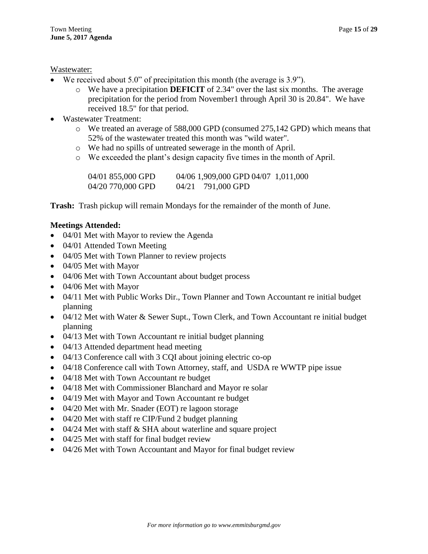## Wastewater:

- We received about 5.0" of precipitation this month (the average is 3.9").
	- o We have a precipitation **DEFICIT** of 2.34" over the last six months. The average precipitation for the period from November1 through April 30 is 20.84". We have received 18.5" for that period.
- Wastewater Treatment:
	- o We treated an average of 588,000 GPD (consumed 275,142 GPD) which means that 52% of the wastewater treated this month was "wild water".
	- o We had no spills of untreated sewerage in the month of April.
	- o We exceeded the plant's design capacity five times in the month of April.

| 04/01 855,000 GPD | 04/06 1,909,000 GPD 04/07 1,011,000 |  |
|-------------------|-------------------------------------|--|
| 04/20 770,000 GPD | 04/21 791,000 GPD                   |  |

**Trash:** Trash pickup will remain Mondays for the remainder of the month of June.

## **Meetings Attended:**

- 04/01 Met with Mayor to review the Agenda
- 04/01 Attended Town Meeting
- 04/05 Met with Town Planner to review projects
- 04/05 Met with Mayor
- 04/06 Met with Town Accountant about budget process
- 04/06 Met with Mayor
- 04/11 Met with Public Works Dir., Town Planner and Town Accountant re initial budget planning
- 04/12 Met with Water & Sewer Supt., Town Clerk, and Town Accountant re initial budget planning
- 04/13 Met with Town Accountant re initial budget planning
- 04/13 Attended department head meeting
- 04/13 Conference call with 3 CQI about joining electric co-op
- 04/18 Conference call with Town Attorney, staff, and USDA re WWTP pipe issue
- 04/18 Met with Town Accountant re budget
- 04/18 Met with Commissioner Blanchard and Mayor re solar
- 04/19 Met with Mayor and Town Accountant re budget
- 04/20 Met with Mr. Snader (EOT) re lagoon storage
- 04/20 Met with staff re CIP/Fund 2 budget planning
- 04/24 Met with staff & SHA about waterline and square project
- 04/25 Met with staff for final budget review
- 04/26 Met with Town Accountant and Mayor for final budget review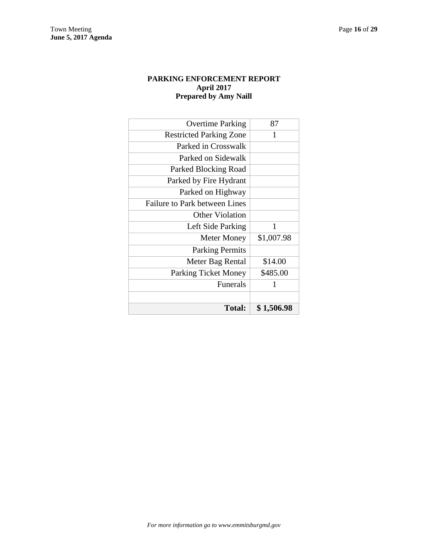## **PARKING ENFORCEMENT REPORT April 2017 Prepared by Amy Naill**

| <b>Total:</b>                        | \$1,506.98 |
|--------------------------------------|------------|
|                                      |            |
| <b>Funerals</b>                      | 1          |
| <b>Parking Ticket Money</b>          | \$485.00   |
| Meter Bag Rental                     | \$14.00    |
| <b>Parking Permits</b>               |            |
| <b>Meter Money</b>                   | \$1,007.98 |
| Left Side Parking                    | 1          |
| <b>Other Violation</b>               |            |
| <b>Failure to Park between Lines</b> |            |
| Parked on Highway                    |            |
| Parked by Fire Hydrant               |            |
| Parked Blocking Road                 |            |
| Parked on Sidewalk                   |            |
| Parked in Crosswalk                  |            |
| <b>Restricted Parking Zone</b>       | 1          |
| <b>Overtime Parking</b>              | 87         |
|                                      |            |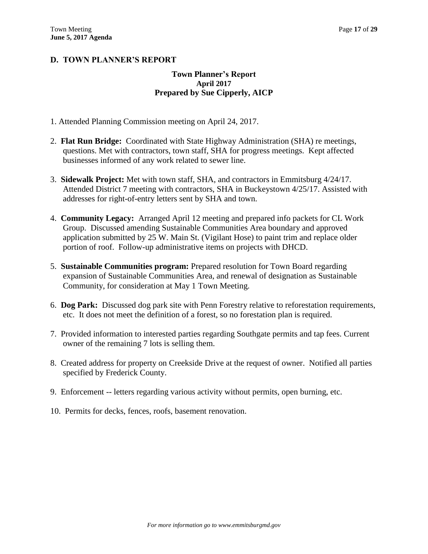# **D. TOWN PLANNER'S REPORT**

## **Town Planner's Report April 2017 Prepared by Sue Cipperly, AICP**

- 1. Attended Planning Commission meeting on April 24, 2017.
- 2. **Flat Run Bridge:** Coordinated with State Highway Administration (SHA) re meetings, questions. Met with contractors, town staff, SHA for progress meetings. Kept affected businesses informed of any work related to sewer line.
- 3. **Sidewalk Project:** Met with town staff, SHA, and contractors in Emmitsburg 4/24/17. Attended District 7 meeting with contractors, SHA in Buckeystown 4/25/17. Assisted with addresses for right-of-entry letters sent by SHA and town.
- 4. **Community Legacy:** Arranged April 12 meeting and prepared info packets for CL Work Group. Discussed amending Sustainable Communities Area boundary and approved application submitted by 25 W. Main St. (Vigilant Hose) to paint trim and replace older portion of roof. Follow-up administrative items on projects with DHCD.
- 5. **Sustainable Communities program:** Prepared resolution for Town Board regarding expansion of Sustainable Communities Area, and renewal of designation as Sustainable Community, for consideration at May 1 Town Meeting.
- 6. **Dog Park:** Discussed dog park site with Penn Forestry relative to reforestation requirements, etc. It does not meet the definition of a forest, so no forestation plan is required.
- 7. Provided information to interested parties regarding Southgate permits and tap fees. Current owner of the remaining 7 lots is selling them.
- 8. Created address for property on Creekside Drive at the request of owner. Notified all parties specified by Frederick County.
- 9. Enforcement -- letters regarding various activity without permits, open burning, etc.
- 10. Permits for decks, fences, roofs, basement renovation.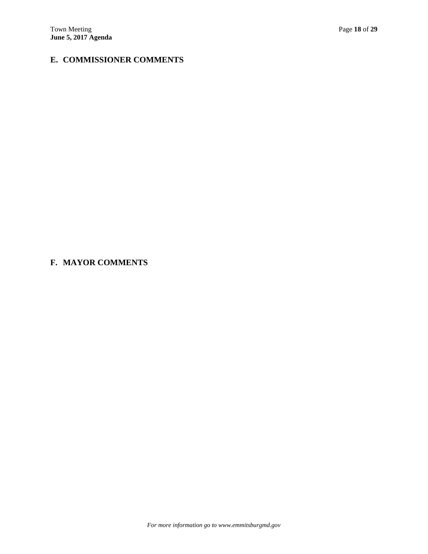# **E. COMMISSIONER COMMENTS**

# **F. MAYOR COMMENTS**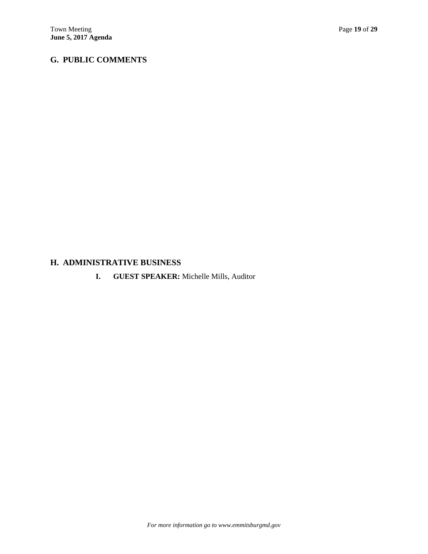# **G. PUBLIC COMMENTS**

# **H. ADMINISTRATIVE BUSINESS**

**I. GUEST SPEAKER:** Michelle Mills, Auditor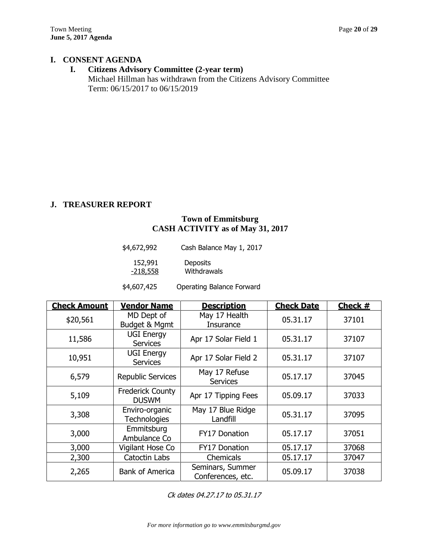## **I. CONSENT AGENDA**

# **I. Citizens Advisory Committee (2-year term)**

Michael Hillman has withdrawn from the Citizens Advisory Committee Term: 06/15/2017 to 06/15/2019

# **J. TREASURER REPORT**

# **Town of Emmitsburg CASH ACTIVITY as of May 31, 2017**

| \$4,672,992 | Cash Balance May 1, 2017 |
|-------------|--------------------------|
| 152,991     | <b>Deposits</b>          |
| $-218,558$  | Withdrawals              |

\$4,607,425 Operating Balance Forward

| <b>Check Amount</b> | <b>Vendor Name</b>                      | <b>Description</b>                    | <b>Check Date</b> | Check # |
|---------------------|-----------------------------------------|---------------------------------------|-------------------|---------|
| \$20,561            | MD Dept of<br>Budget & Mgmt             | May 17 Health<br>Insurance            | 05.31.17          | 37101   |
| 11,586              | <b>UGI Energy</b><br><b>Services</b>    | Apr 17 Solar Field 1                  | 05.31.17          | 37107   |
| 10,951              | <b>UGI Energy</b><br><b>Services</b>    | Apr 17 Solar Field 2                  | 05.31.17          | 37107   |
| 6,579               | <b>Republic Services</b>                | May 17 Refuse<br><b>Services</b>      | 05.17.17          | 37045   |
| 5,109               | <b>Frederick County</b><br><b>DUSWM</b> | Apr 17 Tipping Fees                   | 05.09.17          | 37033   |
| 3,308               | Enviro-organic<br>Technologies          | May 17 Blue Ridge<br>Landfill         | 05.31.17          | 37095   |
| 3,000               | Emmitsburg<br>Ambulance Co              | <b>FY17 Donation</b>                  | 05.17.17          | 37051   |
| 3,000               | Vigilant Hose Co                        | FY17 Donation                         | 05.17.17          | 37068   |
| 2,300               | Catoctin Labs                           | Chemicals                             | 05.17.17          | 37047   |
| 2,265               | <b>Bank of America</b>                  | Seminars, Summer<br>Conferences, etc. | 05.09.17          | 37038   |

Ck dates 04.27.17 to 05.31.17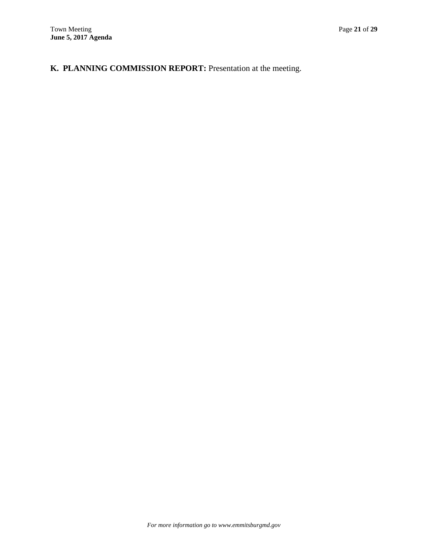# **K. PLANNING COMMISSION REPORT:** Presentation at the meeting.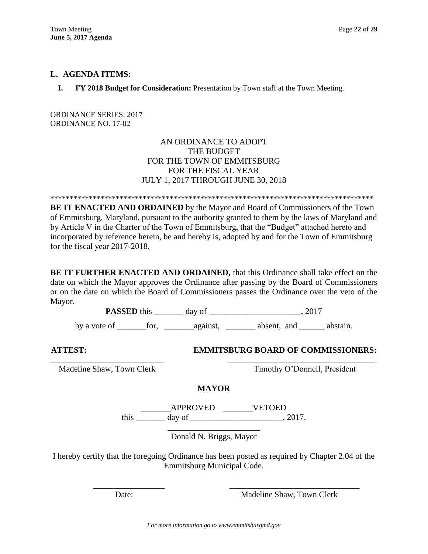## **L. AGENDA ITEMS:**

**I. FY 2018 Budget for Consideration:** Presentation by Town staff at the Town Meeting.

ORDINANCE SERIES: 2017 ORDINANCE NO. 17-02

> AN ORDINANCE TO ADOPT THE BUDGET FOR THE TOWN OF EMMITSBURG FOR THE FISCAL YEAR JULY 1, 2017 THROUGH JUNE 30, 2018

\*\*\*\*\*\*\*\*\*\*\*\*\*\*\*\*\*\*\*\*\*\*\*\*\*\*\*\*\*\*\*\*\*\*\*\*\*\*\*\*\*\*\*\*\*\*\*\*\*\*\*\*\*\*\*\*\*\*\*\*\*\*\*\*\*\*\*\*\*\*\*\*\*\*\*\*\*\*\*\*\*\*\*\*

**BE IT ENACTED AND ORDAINED** by the Mayor and Board of Commissioners of the Town of Emmitsburg, Maryland, pursuant to the authority granted to them by the laws of Maryland and by Article V in the Charter of the Town of Emmitsburg, that the "Budget" attached hereto and incorporated by reference herein, be and hereby is, adopted by and for the Town of Emmitsburg for the fiscal year 2017-2018.

**BE IT FURTHER ENACTED AND ORDAINED,** that this Ordinance shall take effect on the date on which the Mayor approves the Ordinance after passing by the Board of Commissioners or on the date on which the Board of Commissioners passes the Ordinance over the veto of the Mayor.

**PASSED** this \_\_\_\_\_\_\_ day of \_\_\_\_\_\_\_\_\_\_\_\_\_\_\_\_\_\_\_\_\_\_\_, 2017

by a vote of \_\_\_\_\_\_\_for, \_\_\_\_\_\_\_against, \_\_\_\_\_\_\_ absent, and \_\_\_\_\_\_ abstain.

## **ATTEST: EMMITSBURG BOARD OF COMMISSIONERS:**

Madeline Shaw, Town Clerk Timothy O'Donnell, President

**MAYOR**

\_\_\_\_\_\_\_\_\_\_\_\_\_\_\_\_\_\_\_\_\_\_\_\_\_\_\_ \_\_\_\_\_\_\_\_\_\_\_\_\_\_\_\_\_\_\_\_\_\_\_\_\_\_\_\_\_\_\_\_\_\_\_

\_\_\_\_\_\_\_APPROVED \_\_\_\_\_\_\_VETOED this  $\_\_\_\_\_\_\$  day of  $\_\_\_\_\_\_\_\_\_\_\$ , 2017.

> \_\_\_\_\_\_\_\_\_\_\_\_\_\_\_\_\_\_\_\_\_\_ Donald N. Briggs, Mayor

I hereby certify that the foregoing Ordinance has been posted as required by Chapter 2.04 of the Emmitsburg Municipal Code.

\_\_\_\_\_\_\_\_\_\_\_\_\_\_\_\_\_ \_\_\_\_\_\_\_\_\_\_\_\_\_\_\_\_\_\_\_\_\_\_\_\_\_\_\_\_\_\_\_

Date: Madeline Shaw, Town Clerk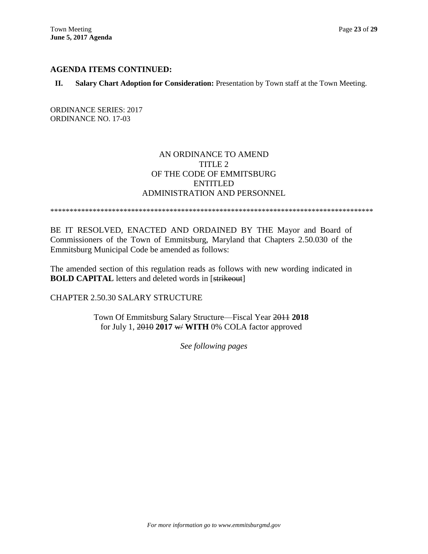## **AGENDA ITEMS CONTINUED:**

### **II. Salary Chart Adoption for Consideration:** Presentation by Town staff at the Town Meeting.

ORDINANCE SERIES: 2017 ORDINANCE NO. 17-03

# AN ORDINANCE TO AMEND TITLE 2 OF THE CODE OF EMMITSBURG ENTITLED ADMINISTRATION AND PERSONNEL

\*\*\*\*\*\*\*\*\*\*\*\*\*\*\*\*\*\*\*\*\*\*\*\*\*\*\*\*\*\*\*\*\*\*\*\*\*\*\*\*\*\*\*\*\*\*\*\*\*\*\*\*\*\*\*\*\*\*\*\*\*\*\*\*\*\*\*\*\*\*\*\*\*\*\*\*\*\*\*\*\*\*\*\*

BE IT RESOLVED, ENACTED AND ORDAINED BY THE Mayor and Board of Commissioners of the Town of Emmitsburg, Maryland that Chapters 2.50.030 of the Emmitsburg Municipal Code be amended as follows:

The amended section of this regulation reads as follows with new wording indicated in **BOLD CAPITAL** letters and deleted words in [strikeout]

CHAPTER 2.50.30 SALARY STRUCTURE

Town Of Emmitsburg Salary Structure—Fiscal Year 2011 **2018** for July 1, 2010 **2017** w/ **WITH** 0% COLA factor approved

*See following pages*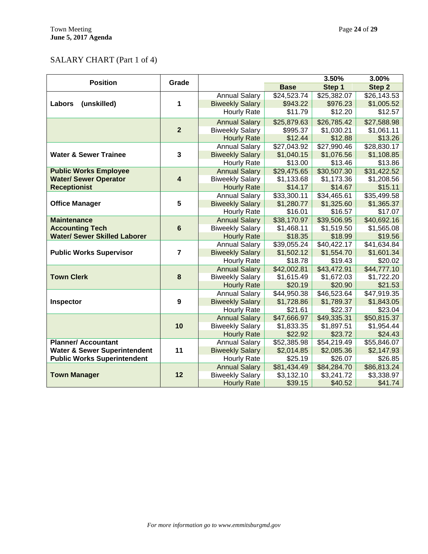# SALARY CHART (Part 1 of 4)

| <b>Position</b>                         | Grade                   |                                                |                           | 3.50%                   | 3.00%                     |
|-----------------------------------------|-------------------------|------------------------------------------------|---------------------------|-------------------------|---------------------------|
|                                         |                         |                                                | <b>Base</b>               | Step 1                  | Step 2                    |
|                                         |                         | <b>Annual Salary</b>                           | \$24,523.74               | \$25,382.07             | \$26,143.53               |
| Labors<br>(unskilled)                   | 1                       | <b>Biweekly Salary</b>                         | \$943.22                  | \$976.23                | \$1,005.52                |
|                                         |                         | <b>Hourly Rate</b>                             | \$11.79                   | \$12.20                 | \$12.57                   |
|                                         |                         | <b>Annual Salary</b>                           | \$25,879.63               | \$26,785.42             | \$27,588.98               |
|                                         | $\overline{2}$          | <b>Biweekly Salary</b>                         | \$995.37                  | \$1,030.21              | \$1,061.11                |
|                                         |                         | <b>Hourly Rate</b>                             | \$12.44                   | \$12.88                 | \$13.26                   |
|                                         |                         | <b>Annual Salary</b>                           | \$27,043.92               | \$27,990.46             | \$28,830.17               |
| <b>Water &amp; Sewer Trainee</b>        | $\overline{\mathbf{3}}$ | <b>Biweekly Salary</b>                         | \$1,040.15                | \$1,076.56              | \$1,108.85                |
|                                         |                         | <b>Hourly Rate</b>                             | \$13.00                   | \$13.46                 | \$13.86                   |
| <b>Public Works Employee</b>            |                         | <b>Annual Salary</b>                           | \$29,475.65               | \$30,507.30             | \$31,422.52               |
| <b>Water/ Sewer Operator</b>            | $\overline{\mathbf{4}}$ | <b>Biweekly Salary</b>                         | \$1,133.68                | \$1,173.36              | \$1,208.56                |
| <b>Receptionist</b>                     |                         | <b>Hourly Rate</b>                             | \$14.17                   | \$14.67                 | \$15.11                   |
|                                         |                         | <b>Annual Salary</b>                           | \$33,300.11               | \$34,465.61             | \$35,499.58               |
| <b>Office Manager</b>                   | 5                       | <b>Biweekly Salary</b>                         | \$1,280.77                | \$1,325.60              | \$1,365.37                |
|                                         |                         | <b>Hourly Rate</b>                             | \$16.01                   | \$16.57                 | \$17.07                   |
| <b>Maintenance</b>                      |                         | <b>Annual Salary</b>                           | \$38,170.97               | \$39,506.95             | \$40,692.16               |
| <b>Accounting Tech</b>                  | 6                       | <b>Biweekly Salary</b>                         | \$1,468.11                | \$1,519.50              | \$1,565.08                |
| <b>Water/ Sewer Skilled Laborer</b>     |                         | <b>Hourly Rate</b>                             | \$18.35                   | \$18.99                 | \$19.56                   |
|                                         |                         | <b>Annual Salary</b>                           | \$39,055.24               | \$40,422.17             | \$41,634.84               |
| <b>Public Works Supervisor</b>          | $\overline{7}$          | <b>Biweekly Salary</b>                         | \$1,502.12                | \$1,554.70              | \$1,601.34                |
|                                         |                         | <b>Hourly Rate</b>                             | \$18.78                   | \$19.43                 | \$20.02                   |
|                                         |                         | <b>Annual Salary</b>                           | \$42,002.81               | \$43,472.91             | \$44,777.10               |
| <b>Town Clerk</b>                       | 8                       | <b>Biweekly Salary</b>                         | \$1,615.49                | \$1,672.03              | \$1,722.20                |
|                                         |                         | <b>Hourly Rate</b>                             | \$20.19                   | \$20.90                 | \$21.53                   |
|                                         |                         | <b>Annual Salary</b>                           | \$44,950.38               | \$46,523.64             | \$47,919.35               |
| Inspector                               | 9                       | <b>Biweekly Salary</b>                         | \$1,728.86                | \$1,789.37              | \$1,843.05                |
|                                         |                         | Hourly Rate                                    | \$21.61                   | \$22.37                 | \$23.04                   |
|                                         | 10                      | <b>Annual Salary</b>                           | \$47,666.97               | \$49,335.31             | \$50,815.37               |
|                                         |                         | <b>Biweekly Salary</b>                         | \$1,833.35<br>\$22.92     | \$1,897.51<br>\$23.72   | \$1,954.44<br>\$24.43     |
| <b>Planner/ Accountant</b>              |                         | <b>Hourly Rate</b>                             |                           | $$54,2\overline{19.49}$ |                           |
| <b>Water &amp; Sewer Superintendent</b> | 11                      | <b>Annual Salary</b><br><b>Biweekly Salary</b> | \$52,385.98<br>\$2,014.85 | \$2,085.36              | \$55,846.07<br>\$2,147.93 |
| <b>Public Works Superintendent</b>      |                         | <b>Hourly Rate</b>                             | \$25.19                   | \$26.07                 | \$26.85                   |
|                                         |                         | <b>Annual Salary</b>                           | \$81,434.49               | \$84,284.70             | \$86,813.24               |
| <b>Town Manager</b>                     | 12                      | <b>Biweekly Salary</b>                         | \$3,132.10                | \$3,241.72              | \$3,338.97                |
|                                         |                         | <b>Hourly Rate</b>                             | \$39.15                   | \$40.52                 | \$41.74                   |
|                                         |                         |                                                |                           |                         |                           |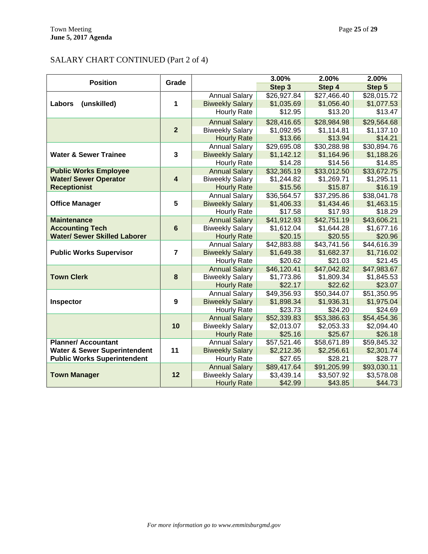# SALARY CHART CONTINUED (Part 2 of 4)

| <b>Position</b>                                                       | Grade                   |                        | 3.00%                     | 2.00%       | 2.00%                 |
|-----------------------------------------------------------------------|-------------------------|------------------------|---------------------------|-------------|-----------------------|
|                                                                       |                         |                        | Step 3                    | Step 4      | Step 5                |
|                                                                       |                         | <b>Annual Salary</b>   | \$26,927.84               | \$27,466.40 | \$28,015.72           |
| (unskilled)<br>Labors                                                 | 1                       | <b>Biweekly Salary</b> | \$1,035.69                | \$1,056.40  | \$1,077.53            |
|                                                                       |                         | <b>Hourly Rate</b>     | \$12.95                   | \$13.20     | \$13.47               |
|                                                                       |                         | <b>Annual Salary</b>   | \$28,416.65               | \$28,984.98 | \$29,564.68           |
|                                                                       | $\overline{2}$          | <b>Biweekly Salary</b> | \$1,092.95                | \$1,114.81  | \$1,137.10            |
|                                                                       |                         | <b>Hourly Rate</b>     | \$13.66                   | \$13.94     | \$14.21               |
|                                                                       |                         | <b>Annual Salary</b>   | \$29,695.08               | \$30,288.98 | \$30,894.76           |
| <b>Water &amp; Sewer Trainee</b>                                      | $\mathbf{3}$            | <b>Biweekly Salary</b> | \$1,142.12                | \$1,164.96  | \$1,188.26            |
|                                                                       |                         | <b>Hourly Rate</b>     | \$14.28                   | \$14.56     | \$14.85               |
| <b>Public Works Employee</b>                                          |                         | <b>Annual Salary</b>   | \$32,365.19               | \$33,012.50 | \$33,672.75           |
| <b>Water/ Sewer Operator</b>                                          | $\overline{\mathbf{4}}$ | <b>Biweekly Salary</b> | \$1,244.82                | \$1,269.71  | \$1,295.11            |
| <b>Receptionist</b>                                                   |                         | <b>Hourly Rate</b>     | \$15.56                   | \$15.87     | \$16.19               |
|                                                                       |                         | <b>Annual Salary</b>   | \$36,564.57               | \$37,295.86 | \$38,041.78           |
| <b>Office Manager</b>                                                 | 5                       | <b>Biweekly Salary</b> | \$1,406.33                | \$1,434.46  | \$1,463.15            |
|                                                                       |                         | <b>Hourly Rate</b>     | \$17.58                   | \$17.93     | \$18.29               |
| <b>Maintenance</b>                                                    |                         | <b>Annual Salary</b>   | \$41,912.93               | \$42,751.19 | \$43,606.21           |
| <b>Accounting Tech</b>                                                | $6\phantom{1}6$         | <b>Biweekly Salary</b> | \$1,612.04                | \$1,644.28  | \$1,677.16            |
| <b>Water/ Sewer Skilled Laborer</b>                                   |                         | <b>Hourly Rate</b>     | \$20.15                   | \$20.55     | \$20.96               |
|                                                                       |                         | <b>Annual Salary</b>   | $\overline{$42,883.88}$   | \$43,741.56 | \$44,616.39           |
| <b>Public Works Supervisor</b>                                        | $\overline{7}$          | <b>Biweekly Salary</b> | \$1,649.38                | \$1,682.37  | \$1,716.02            |
|                                                                       |                         | <b>Hourly Rate</b>     | \$20.62                   | \$21.03     | \$21.45               |
|                                                                       |                         | <b>Annual Salary</b>   | \$46,120.41               | \$47,042.82 | \$47,983.67           |
| <b>Town Clerk</b>                                                     | 8                       | <b>Biweekly Salary</b> | \$1,773.86                | \$1,809.34  | \$1,845.53            |
|                                                                       |                         | <b>Hourly Rate</b>     | \$22.17                   | \$22.62     | \$23.07               |
|                                                                       |                         | <b>Annual Salary</b>   | \$49,356.93               | \$50,344.07 | \$51,350.95           |
| Inspector                                                             | 9                       | <b>Biweekly Salary</b> | \$1,898.34                | \$1,936.31  | \$1,975.04            |
|                                                                       |                         | <b>Hourly Rate</b>     | \$23.73                   | \$24.20     | \$24.69               |
|                                                                       |                         | <b>Annual Salary</b>   | \$52,339.83               | \$53,386.63 | \$54,454.36           |
|                                                                       | 10                      | <b>Biweekly Salary</b> | \$2,013.07                | \$2,053.33  | \$2,094.40            |
|                                                                       |                         | <b>Hourly Rate</b>     | \$25.16                   | \$25.67     | \$26.18               |
| <b>Planner/ Accountant</b><br><b>Water &amp; Sewer Superintendent</b> | 11                      | <b>Annual Salary</b>   | \$57,521.46               | \$58,671.89 | \$59,845.32           |
| <b>Public Works Superintendent</b>                                    |                         | <b>Biweekly Salary</b> | \$2,212.36                | \$2,256.61  | \$2,301.74            |
|                                                                       |                         | <b>Hourly Rate</b>     | \$27.65                   | \$28.21     | \$28.77               |
|                                                                       | 12                      | <b>Annual Salary</b>   | \$89,417.64<br>\$3,439.14 | \$91,205.99 | \$93,030.11           |
| <b>Town Manager</b>                                                   |                         | <b>Biweekly Salary</b> |                           | \$3,507.92  | \$3,578.08<br>\$44.73 |
|                                                                       |                         | <b>Hourly Rate</b>     | \$42.99                   | \$43.85     |                       |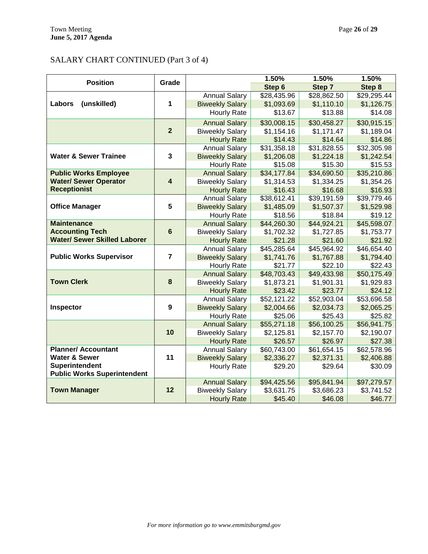# SALARY CHART CONTINUED (Part 3 of 4)

| <b>Position</b>                                        | Grade                   |                        | 1.50%       | 1.50%       | 1.50%                     |
|--------------------------------------------------------|-------------------------|------------------------|-------------|-------------|---------------------------|
|                                                        |                         |                        | Step 6      | Step 7      | Step 8                    |
|                                                        |                         | <b>Annual Salary</b>   | \$28,435.96 | \$28,862.50 | \$29,295.44               |
| (unskilled)<br>Labors                                  | 1                       | <b>Biweekly Salary</b> | \$1,093.69  | \$1,110.10  | \$1,126.75                |
|                                                        |                         | <b>Hourly Rate</b>     | \$13.67     | \$13.88     | \$14.08                   |
|                                                        |                         | <b>Annual Salary</b>   | \$30,008.15 | \$30,458.27 | \$30,915.15               |
|                                                        | $\overline{2}$          | <b>Biweekly Salary</b> | \$1,154.16  | \$1,171.47  | \$1,189.04                |
|                                                        |                         | <b>Hourly Rate</b>     | \$14.43     | \$14.64     | \$14.86                   |
|                                                        |                         | <b>Annual Salary</b>   | \$31,358.18 | \$31,828.55 | \$32,305.98               |
| <b>Water &amp; Sewer Trainee</b>                       | $\overline{3}$          | <b>Biweekly Salary</b> | \$1,206.08  | \$1,224.18  | \$1,242.54                |
|                                                        |                         | <b>Hourly Rate</b>     | \$15.08     | \$15.30     | \$15.53                   |
| <b>Public Works Employee</b>                           |                         | <b>Annual Salary</b>   | \$34,177.84 | \$34,690.50 | \$35,210.86               |
| <b>Water/ Sewer Operator</b>                           | $\overline{\mathbf{4}}$ | <b>Biweekly Salary</b> | \$1,314.53  | \$1,334.25  | \$1,354.26                |
| <b>Receptionist</b>                                    |                         | <b>Hourly Rate</b>     | \$16.43     | \$16.68     | \$16.93                   |
|                                                        |                         | <b>Annual Salary</b>   | \$38,612.41 | \$39,191.59 | \$39,779.46               |
| <b>Office Manager</b>                                  | 5                       | <b>Biweekly Salary</b> | \$1,485.09  | \$1,507.37  | \$1,529.98                |
|                                                        |                         | Hourly Rate            | \$18.56     | \$18.84     | \$19.12                   |
| <b>Maintenance</b>                                     |                         | <b>Annual Salary</b>   | \$44,260.30 | \$44,924.21 | \$45,598.07               |
| <b>Accounting Tech</b>                                 | $6\phantom{1}$          | <b>Biweekly Salary</b> | \$1,702.32  | \$1,727.85  | \$1,753.77                |
| <b>Water/ Sewer Skilled Laborer</b>                    |                         | <b>Hourly Rate</b>     | \$21.28     | \$21.60     | \$21.92                   |
|                                                        |                         | <b>Annual Salary</b>   | \$45,285.64 | \$45,964.92 | \$46,654.40               |
| <b>Public Works Supervisor</b>                         | $\overline{7}$          | <b>Biweekly Salary</b> | \$1,741.76  | \$1,767.88  | \$1,794.40                |
|                                                        |                         | <b>Hourly Rate</b>     | \$21.77     | \$22.10     | \$22.43                   |
|                                                        |                         | <b>Annual Salary</b>   | \$48,703.43 | \$49,433.98 | \$50,175.49               |
| <b>Town Clerk</b>                                      | 8                       | <b>Biweekly Salary</b> | \$1,873.21  | \$1,901.31  | \$1,929.83                |
|                                                        |                         | <b>Hourly Rate</b>     | \$23.42     | \$23.77     | \$24.12                   |
|                                                        |                         | <b>Annual Salary</b>   | \$52,121.22 | \$52,903.04 | \$53,696.58               |
| Inspector                                              | 9                       | <b>Biweekly Salary</b> | \$2,004.66  | \$2,034.73  | \$2,065.25                |
|                                                        |                         | <b>Hourly Rate</b>     | \$25.06     | \$25.43     | \$25.82                   |
|                                                        | 10                      | <b>Annual Salary</b>   | \$55,271.18 | \$56,100.25 | \$56,941.75               |
|                                                        |                         | <b>Biweekly Salary</b> | \$2,125.81  | \$2,157.70  | \$2,190.07                |
|                                                        |                         | <b>Hourly Rate</b>     | \$26.57     | \$26.97     | \$27.38                   |
| <b>Planner/ Accountant</b><br><b>Water &amp; Sewer</b> | 11                      | <b>Annual Salary</b>   | \$60,743.00 | \$61,654.15 | \$62,578.96<br>\$2,406.88 |
| Superintendent                                         |                         | <b>Biweekly Salary</b> | \$2,336.27  | \$2,371.31  |                           |
| <b>Public Works Superintendent</b>                     |                         | <b>Hourly Rate</b>     | \$29.20     | \$29.64     | \$30.09                   |
|                                                        |                         | <b>Annual Salary</b>   | \$94,425.56 | \$95,841.94 | \$97,279.57               |
| <b>Town Manager</b>                                    | 12                      | <b>Biweekly Salary</b> | \$3,631.75  | \$3,686.23  | \$3,741.52                |
|                                                        |                         | <b>Hourly Rate</b>     | \$45.40     | \$46.08     | \$46.77                   |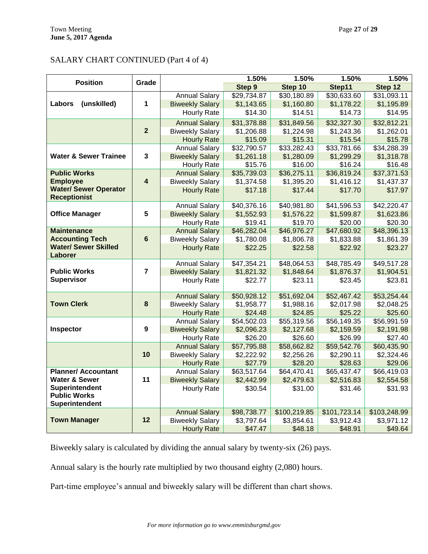# SALARY CHART CONTINUED (Part 4 of 4)

| <b>Position</b>                                     | Grade                   |                        | 1.50%       | 1.50%        | 1.50%        | 1.50%        |
|-----------------------------------------------------|-------------------------|------------------------|-------------|--------------|--------------|--------------|
|                                                     |                         |                        | Step 9      | Step 10      | Step11       | Step 12      |
|                                                     |                         | <b>Annual Salary</b>   | \$29,734.87 | \$30,180.89  | \$30,633.60  | \$31,093.11  |
| (unskilled)<br>Labors                               | 1                       | <b>Biweekly Salary</b> | \$1,143.65  | \$1,160.80   | \$1,178.22   | \$1,195.89   |
|                                                     |                         | <b>Hourly Rate</b>     | \$14.30     | \$14.51      | \$14.73      | \$14.95      |
|                                                     |                         | <b>Annual Salary</b>   | \$31,378.88 | \$31,849.56  | \$32,327.30  | \$32,812.21  |
|                                                     | $\overline{2}$          | <b>Biweekly Salary</b> | \$1,206.88  | \$1,224.98   | \$1,243.36   | \$1,262.01   |
|                                                     |                         | <b>Hourly Rate</b>     | \$15.09     | \$15.31      | \$15.54      | \$15.78      |
|                                                     |                         | <b>Annual Salary</b>   | \$32,790.57 | \$33,282.43  | \$33,781.66  | \$34,288.39  |
| <b>Water &amp; Sewer Trainee</b>                    | 3                       | <b>Biweekly Salary</b> | \$1,261.18  | \$1,280.09   | \$1,299.29   | \$1,318.78   |
|                                                     |                         | <b>Hourly Rate</b>     | \$15.76     | \$16.00      | \$16.24      | \$16.48      |
| <b>Public Works</b>                                 |                         | <b>Annual Salary</b>   | \$35,739.03 | \$36,275.11  | \$36,819.24  | \$37,371.53  |
| <b>Employee</b>                                     | $\overline{\mathbf{4}}$ | <b>Biweekly Salary</b> | \$1,374.58  | \$1,395.20   | \$1,416.12   | \$1,437.37   |
| <b>Water/ Sewer Operator</b><br><b>Receptionist</b> |                         | <b>Hourly Rate</b>     | \$17.18     | \$17.44      | \$17.70      | \$17.97      |
|                                                     |                         | <b>Annual Salary</b>   | \$40,376.16 | \$40,981.80  | \$41,596.53  | \$42,220.47  |
| <b>Office Manager</b>                               | 5                       | <b>Biweekly Salary</b> | \$1,552.93  | \$1,576.22   | \$1,599.87   | \$1,623.86   |
|                                                     |                         | Hourly Rate            | \$19.41     | \$19.70      | \$20.00      | \$20.30      |
| <b>Maintenance</b>                                  |                         | <b>Annual Salary</b>   | \$46,282.04 | \$46,976.27  | \$47,680.92  | \$48,396.13  |
| <b>Accounting Tech</b>                              | $6\phantom{1}$          | <b>Biweekly Salary</b> | \$1,780.08  | \$1,806.78   | \$1,833.88   | \$1,861.39   |
| <b>Water/ Sewer Skilled</b>                         |                         | <b>Hourly Rate</b>     | \$22.25     | \$22.58      | \$22.92      | \$23.27      |
| Laborer                                             |                         |                        |             |              |              |              |
|                                                     |                         | <b>Annual Salary</b>   | \$47,354.21 | \$48,064.53  | \$48,785.49  | \$49,517.28  |
| <b>Public Works</b>                                 | $\overline{7}$          | <b>Biweekly Salary</b> | \$1,821.32  | \$1,848.64   | \$1,876.37   | \$1,904.51   |
| <b>Supervisor</b>                                   |                         | <b>Hourly Rate</b>     | \$22.77     | \$23.11      | \$23.45      | \$23.81      |
|                                                     |                         | <b>Annual Salary</b>   | \$50,928.12 | \$51,692.04  | \$52,467.42  | \$53,254.44  |
| <b>Town Clerk</b>                                   | 8                       | <b>Biweekly Salary</b> | \$1,958.77  | \$1,988.16   | \$2,017.98   | \$2,048.25   |
|                                                     |                         | <b>Hourly Rate</b>     | \$24.48     | \$24.85      | \$25.22      | \$25.60      |
|                                                     |                         | <b>Annual Salary</b>   | \$54,502.03 | \$55,319.56  | \$56,149.35  | \$56,991.59  |
| Inspector                                           | 9                       | <b>Biweekly Salary</b> | \$2,096.23  | \$2,127.68   | \$2,159.59   | \$2,191.98   |
|                                                     |                         | <b>Hourly Rate</b>     | \$26.20     | \$26.60      | \$26.99      | \$27.40      |
|                                                     |                         | <b>Annual Salary</b>   | \$57,795.88 | \$58,662.82  | \$59,542.76  | \$60,435.90  |
|                                                     | 10                      | <b>Biweekly Salary</b> | \$2,222.92  | \$2,256.26   | \$2,290.11   | \$2,324.46   |
|                                                     |                         | <b>Hourly Rate</b>     | \$27.79     | \$28.20      | \$28.63      | \$29.06      |
| <b>Planner/ Accountant</b>                          |                         | <b>Annual Salary</b>   | \$63,517.64 | \$64,470.41  | \$65,437.47  | \$66,419.03  |
| <b>Water &amp; Sewer</b>                            | 11                      | <b>Biweekly Salary</b> | \$2,442.99  | \$2,479.63   | \$2,516.83   | \$2,554.58   |
| <b>Superintendent</b>                               |                         | <b>Hourly Rate</b>     | \$30.54     | \$31.00      | \$31.46      | \$31.93      |
| <b>Public Works</b>                                 |                         |                        |             |              |              |              |
| Superintendent                                      |                         |                        |             |              |              |              |
|                                                     |                         | <b>Annual Salary</b>   | \$98,738.77 | \$100,219.85 | \$101,723.14 | \$103,248.99 |
| <b>Town Manager</b>                                 | 12                      | <b>Biweekly Salary</b> | \$3,797.64  | \$3,854.61   | \$3,912.43   | \$3,971.12   |
|                                                     |                         | <b>Hourly Rate</b>     | \$47.47     | \$48.18      | \$48.91      | \$49.64      |

Biweekly salary is calculated by dividing the annual salary by twenty-six (26) pays.

Annual salary is the hourly rate multiplied by two thousand eighty (2,080) hours.

Part-time employee's annual and biweekly salary will be different than chart shows.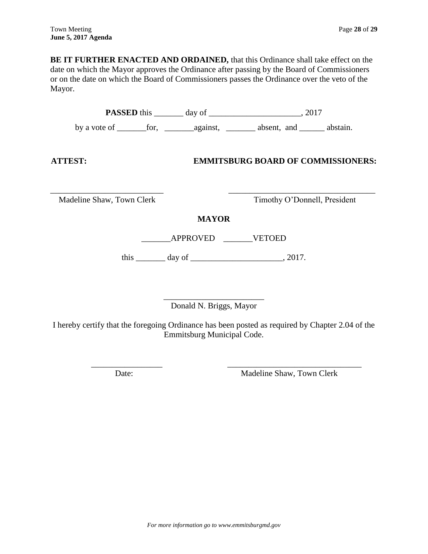**BE IT FURTHER ENACTED AND ORDAINED,** that this Ordinance shall take effect on the date on which the Mayor approves the Ordinance after passing by the Board of Commissioners or on the date on which the Board of Commissioners passes the Ordinance over the veto of the Mayor.

| <b>ATTEST:</b>            |                 | <b>EMMITSBURG BOARD OF COMMISSIONERS:</b>       |
|---------------------------|-----------------|-------------------------------------------------|
| Madeline Shaw, Town Clerk |                 | Timothy O'Donnell, President                    |
|                           | <b>MAYOR</b>    |                                                 |
|                           | APPROVED VETOED |                                                 |
|                           |                 | this $\_\_\_\_$ day of $\_\_\_\_\_\_\_$ , 2017. |
|                           |                 |                                                 |

\_\_\_\_\_\_\_\_\_\_\_\_\_\_\_\_\_\_\_\_\_\_\_\_ Donald N. Briggs, Mayor

I hereby certify that the foregoing Ordinance has been posted as required by Chapter 2.04 of the Emmitsburg Municipal Code.

\_\_\_\_\_\_\_\_\_\_\_\_\_\_\_\_\_ \_\_\_\_\_\_\_\_\_\_\_\_\_\_\_\_\_\_\_\_\_\_\_\_\_\_\_\_\_\_\_\_

Date: Madeline Shaw, Town Clerk